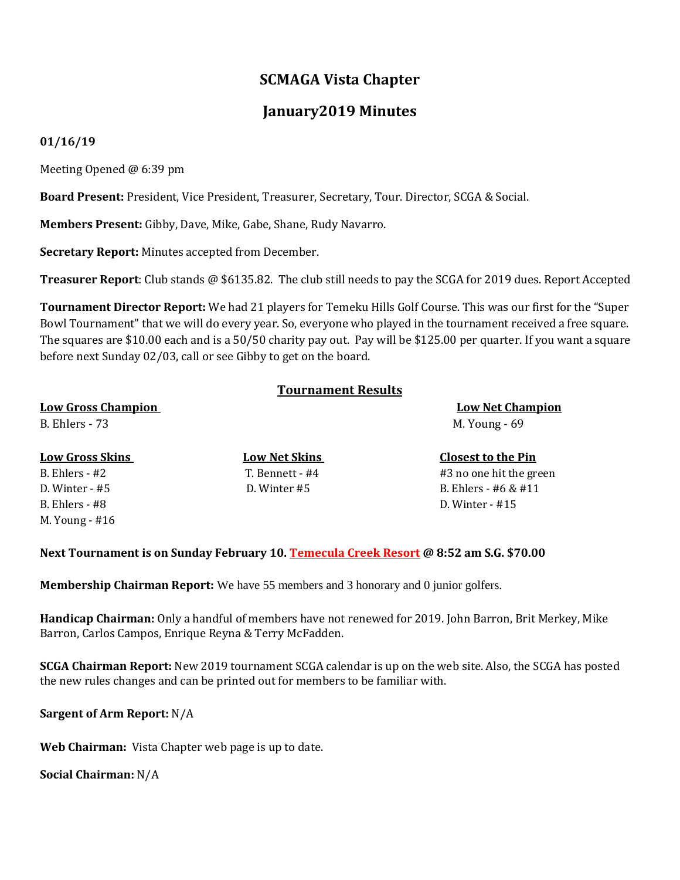## **SCMAGA Vista Chapter**

## **January2019 Minutes**

## **01/16/19**

Meeting Opened @ 6:39 pm

**Board Present:** President, Vice President, Treasurer, Secretary, Tour. Director, SCGA & Social.

**Members Present:** Gibby, Dave, Mike, Gabe, Shane, Rudy Navarro.

**Secretary Report:** Minutes accepted from December.

**Treasurer Report**: Club stands @ \$6135.82. The club still needs to pay the SCGA for 2019 dues. Report Accepted

**Tournament Director Report:** We had 21 players for Temeku Hills Golf Course. This was our first for the "Super Bowl Tournament" that we will do every year. So, everyone who played in the tournament received a free square. The squares are \$10.00 each and is a 50/50 charity pay out. Pay will be \$125.00 per quarter. If you want a square before next Sunday 02/03, call or see Gibby to get on the board.

|                           | <b>Tournament Results</b> |                           |
|---------------------------|---------------------------|---------------------------|
| <b>Low Gross Champion</b> |                           | <b>Low Net Champion</b>   |
| <b>B.</b> Ehlers - 73     |                           | M. Young - 69             |
| <b>Low Gross Skins</b>    | <b>Low Net Skins</b>      | <b>Closest to the Pin</b> |
| $B.$ Ehlers - #2          | T. Bennett - #4           | #3 no one hit the green   |
| $D.$ Winter - #5          | D. Winter #5              | B. Ehlers - #6 & #11      |
| $B.$ Ehlers - #8          |                           | D. Winter $-$ #15         |

**Next Tournament is on Sunday February 10. Temecula Creek Resort @ 8:52 am S.G. \$70.00**

**Membership Chairman Report:** We have 55 members and 3 honorary and 0 junior golfers.

**Handicap Chairman:** Only a handful of members have not renewed for 2019. John Barron, Brit Merkey, Mike Barron, Carlos Campos, Enrique Reyna & Terry McFadden.

**SCGA Chairman Report:** New 2019 tournament SCGA calendar is up on the web site. Also, the SCGA has posted the new rules changes and can be printed out for members to be familiar with.

**Sargent of Arm Report:** N/A

**Web Chairman:** Vista Chapter web page is up to date.

**Social Chairman:** N/A

M. Young - #16